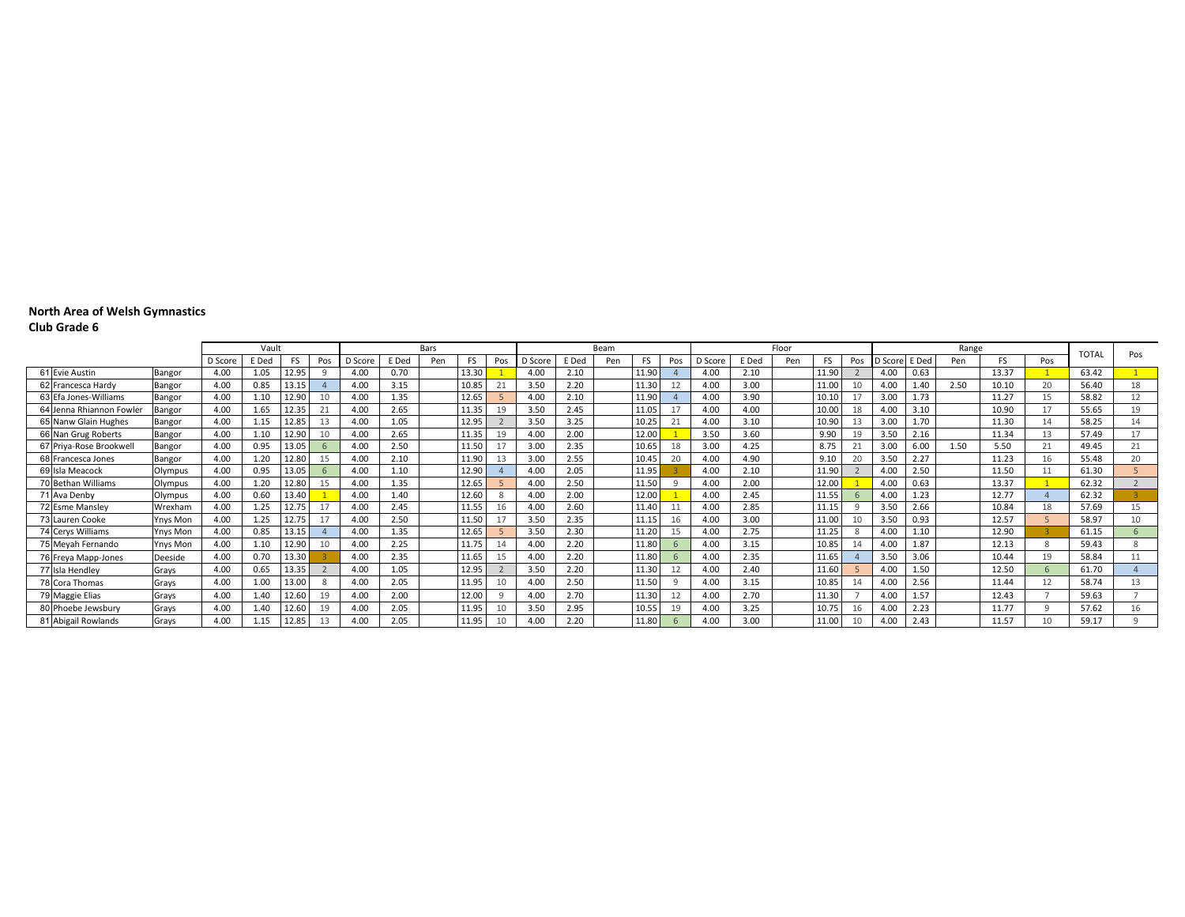### **Club Grade 6**

|                          |                 |         | Vault |       |     |         |       | Bars |       |     |         |       | Beam |           |     |         |       | Floor |       |          |         |       | Range |       |     | <b>TOTAL</b> | Pos                   |
|--------------------------|-----------------|---------|-------|-------|-----|---------|-------|------|-------|-----|---------|-------|------|-----------|-----|---------|-------|-------|-------|----------|---------|-------|-------|-------|-----|--------------|-----------------------|
|                          |                 | D Score | E Ded | FS    | Pos | D Score | E Ded | Pen  | FS    | Pos | D Score | E Ded | Pen  | <b>FS</b> | Pos | D Score | E Ded | Pen   | FS    | Pos      | D Score | E Ded | Pen   |       | Pos |              |                       |
| 61 Evie Austin           | Bangor          | 4.00    | 1.05  | 12.95 |     | 4.00    | 0.70  |      | 13.30 |     | 4.00    | 2.10  |      | 11.90     |     | 4.00    | 2.10  |       | 11.90 |          | 4.00    | 0.63  |       | 13.37 |     | 63.42        |                       |
| 62 Francesca Hardy       | Bangor          | 4.00    | 0.85  | 13.15 |     | 4.00    | 3.15  |      | 10.85 |     | 3.50    | 2.20  |      | 11.30     | 12  | 4.00    | 3.00  |       | 11.00 | 10       | 4.00    | 1.40  | 2.50  | 10.10 | 20  | 56.40        | 18                    |
| 63 Efa Jones-Williams    | Bangor          | 4.00    | 1.10  | 12.90 |     | 4.00    | 1.35  |      | 12.65 |     | 4.00    | 2.10  |      | 11.90     |     | 4.00    | 3.90  |       | 10.10 | 17       | 3.00    | 1.73  |       | 11.27 | 15  | 58.82        | 12                    |
| 64 Jenna Rhiannon Fowler | Bangor          | 4.00    | 1.65  | 12.35 |     | 4.00    | 2.65  |      | 11.35 | 19  | 3.50    | 2.45  |      | 11.05     |     | 4.00    | 4.00  |       | 10.00 | 18       | 4.00    | 3.10  |       | 10.90 |     | 55.65        | 19                    |
| 65 Nanw Glain Hughes     | Bangor          | 4.00    | 1.15  | 12.85 |     | 4.00    | 1.05  |      | 12.95 |     | 3.50    | 3.25  |      | 10.25     | 21  | 4.00    | 3.10  |       | 10.90 | 13       | 3.00    | 1.70  |       | 11.30 |     | 58.25        |                       |
| 66 Nan Grug Roberts      | Bangor          | 4.00    | 1.10  | 12.90 |     | 4.00    | 2.65  |      | 11.35 | 19  | 4.00    | 2.00  |      | 12.00     |     | 3.50    | 3.60  |       | 9.90  | 19       | 3.50    | 2.16  |       | 11.34 | 13  | 57.49        | 17                    |
| 67 Priva-Rose Brookwell  | Bangor          | 4.00    | 0.95  | 13.05 |     | 4.00    | 2.50  |      | 11.50 | 17  | 3.00    | 2.35  |      | 10.65     | 18  | 3.00    | 4.25  |       | 8.75  | 21       | 3.00    | 6.00  | 1.50  | 5.50  |     | 49.45        | 21                    |
| 68 Francesca Jones       | Bangor          | 4.00    | 1.20  | 12.80 |     | 4.00    | 2.10  |      | 11.90 | 13  | 3.00    | 2.55  |      | 10.45     | 20  | 4.00    | 4.90  |       | 9.10  | 20       | 3.50    | 2.27  |       | 11.23 | 16  | 55.48        | 20                    |
| 69 Isla Meacock          | Olympus         | 4.00    | 0.95  | 13.05 |     | 4.00    | 1.10  |      | 12.90 |     | 4.00    | 2.05  |      | 11.95     |     | 4.00    | 2.10  |       | 11.90 |          | 4.00    | 2.50  |       | 11.50 |     | 61.30        |                       |
| 70 Bethan Williams       | Olympus         | 4.00    | 1.20  | 12.80 |     | 4.00    | 1.35  |      | 12.65 |     | 4.00    | 2.50  |      | 11.50     |     | 4.00    | 2.00  |       | 12.00 |          | 4.00    | 0.63  |       | 13.37 |     | 62.32        |                       |
| 1 Ava Denby              | Olympus         | 4.00    | 0.60  | 13.40 |     | 4.00    | 1.40  |      | 12.60 |     | 4.00    | 2.00  |      | 12.00     |     | 4.00    | 2.45  |       | 11.55 |          | 4.00    | 1.23  |       | 12.77 |     | 62.32        |                       |
| 72 Esme Mansley          | Wrexham         | 4.00    | 1.25  |       |     | 4.00    | 2.45  |      | 11.55 | 16  | 4.00    | 2.60  |      | 11.40     |     | 4.00    | 2.85  |       | 11.15 | $\Omega$ | 3.50    | 2.66  |       | 10.84 | 18  | 57.69        | 15                    |
| 73 Lauren Cooke          | <b>Ynys Mon</b> | 4.00    | 1.25  | 12.75 |     | 4.00    | 2.50  |      | 11.50 | 17  | 3.50    | 2.35  |      | 11.15     | 16  | 4.00    | 3.00  |       | 11.00 | 10       | 3.50    | 0.93  |       | 12.57 |     | 58.97        | 10                    |
| 74 Cerys Williams        | <b>Ynys Mon</b> | 4.00    | 0.85  | 13.15 |     | 4.00    | 1.35  |      | 12.65 |     | 3.50    | 2.30  |      | 11.20     | 15  | 4.00    | 2.75  |       | 11.25 |          | 4.00    | 1.10  |       | 12.90 |     | 61.15        |                       |
| 75 Meyah Fernando        | <b>Ynys Mon</b> | 4.00    | 1.10  | 12.90 |     | 4.00    | 2.25  |      | 11.75 | 14  | 4.00    | 2.20  |      | 11.80     |     | 4.00    | 3.15  |       | 10.85 |          | 4.00    | 1.87  |       | 12.13 |     | 59.43        | $\mathsf{\mathsf{R}}$ |
| 76 Freya Mapp-Jones      | Deeside         | 4.00    | 0.70  | 13.30 |     | 4.00    | 2.35  |      | 11.65 | 15  | 4.00    | 2.20  |      | 11.80     |     | 4.00    | 2.35  |       | 11.65 |          | 3.50    | 3.06  |       | 10.44 | 19  | 58.84        |                       |
| 77 Isla Hendley          | Grays           | 4.00    | 0.65  | 13.35 |     | 4.00    | 1.05  |      | 12.95 |     | 3.50    | 2.20  |      | 11.30     | 12  | 4.00    | 2.40  |       | 11.60 |          | 4.00    | 1.50  |       | 12.50 |     | 61.70        |                       |
| 78 Cora Thomas           | Grays           | 4.00    | 1.00  | 13.00 |     | 4.00    | 2.05  |      | 11.95 |     | 4.00    | 2.50  |      | 11.50     |     | 4.00    | 3.15  |       | 10.85 |          | 4.00    | 2.56  |       | 11.44 |     | 58.74        | 13                    |
| 79 Maggie Elias          | Grays           | 4.00    | 1.40  | 12.60 | 19  | 4.00    | 2.00  |      | 12.00 |     | 4.00    | 2.70  |      | 11.30     | 12  | 4.00    | 2.70  |       | 11.30 |          | 4.00    | 1.57  |       | 12.43 |     | 59.63        |                       |
| 80 Phoebe Jewsbury       | Grays           | 4.00    | 1.40  | 12.60 |     | 4.00    | 2.05  |      | 11.95 |     | 3.50    | 2.95  |      | 10.55     | 19  | 4.00    | 3.25  |       | 10.75 | 16       | 4.00    | 2.23  |       | 11.77 |     | 57.62        |                       |
| 81 Abigail Rowlands      | Grays           | 4.00    | 1.15  | 12.85 |     | 4.00    | 2.05  |      | 11.95 |     | 4.00    | 2.20  |      | 11.80     |     | 4.00    | 3.00  |       | 11.00 | 10       | 4.00    | 2.43  |       | 11.57 | 10  | 59.17        |                       |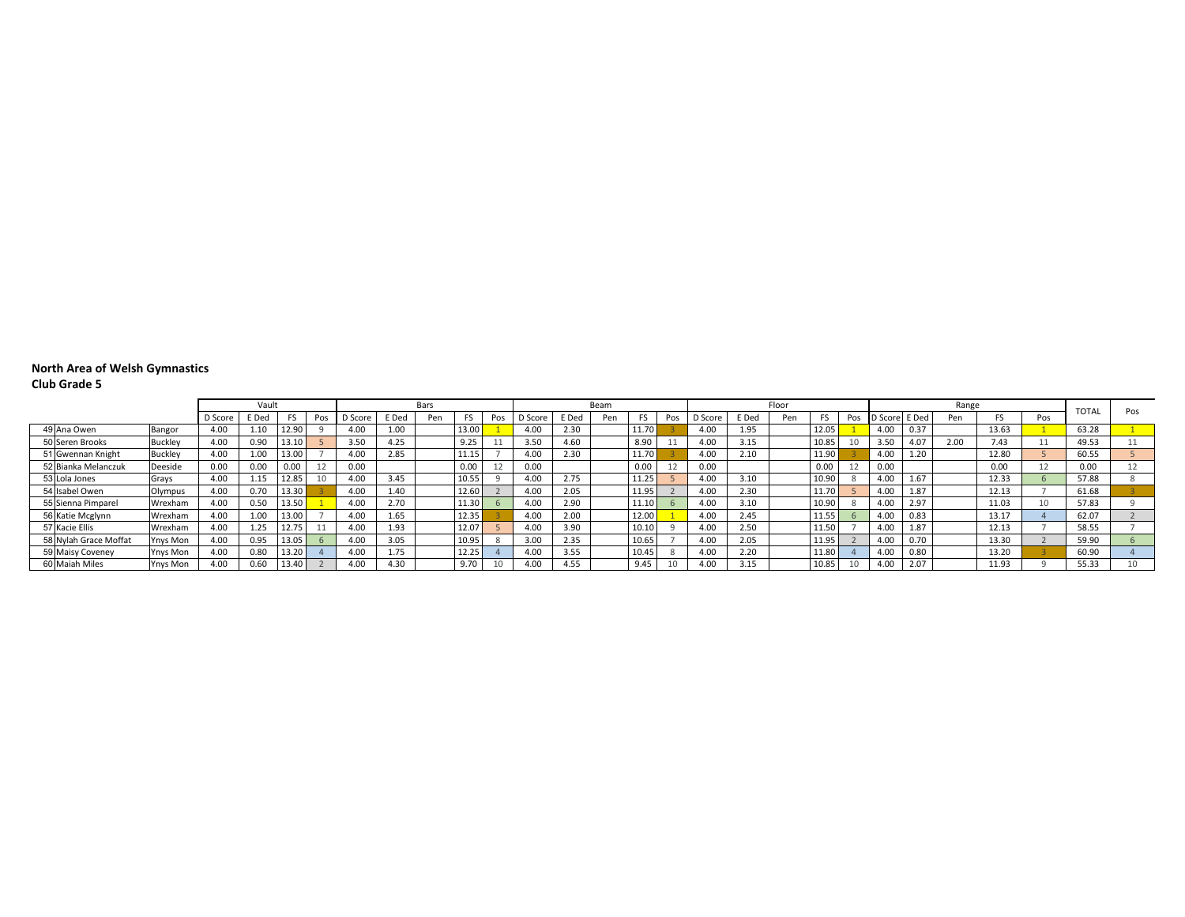#### **North Area of Welsh Gymnastics Club Grade 5**

|                       |                 |         |       |       |     |                  |       |      |       |     | Beam  |      |     |       |     | Floor   |       |     |       |     |         |       |       |       |     |              |     |
|-----------------------|-----------------|---------|-------|-------|-----|------------------|-------|------|-------|-----|-------|------|-----|-------|-----|---------|-------|-----|-------|-----|---------|-------|-------|-------|-----|--------------|-----|
|                       |                 |         | Vaul  |       |     |                  |       | Bars |       |     |       |      |     |       |     |         |       |     |       |     |         |       | Range |       |     | <b>TOTAI</b> | Pos |
|                       |                 | D Score | E Ded |       | Pos | D Score          | E Ded | Pen  |       | Pos | Score | Ded  | Pen |       | Pos | D Score | E Ded | Pen |       | Pos | D Score | E Ded | Pen   |       | Pos |              |     |
| 49 Ana Owen           | Bangor          | 4.00    | 1.10  | 12.90 |     | 4.0 <sub>0</sub> | 1.00  |      | 13.00 |     | 4.00  | 2.30 |     | 11.70 |     | 4.00    | 1.95  |     | 12.05 |     | 4.00    | 0.37  |       | 13.63 |     | 63.28        |     |
| 50 Seren Brooks       | <b>Buckley</b>  | 4.00    | 0.90  | 13.10 |     | 3.50             | 4.25  |      |       |     | 3.50  | 4.60 |     | 8.90  |     | 4.00    | 3.15  |     | 10.85 |     | 3.50    | 4.07  | 2.00  | 7.43  |     | 49.53        |     |
| 51 Gwennan Knight     | <b>Buckley</b>  | 4.00    | 1.00  | 13.00 |     | 4.00             | 2.85  |      | 11 10 |     | 4.00  | 2.30 |     | 11.70 |     | 4.00    | 2.10  |     | 11.90 |     | 4.00    | 1.20  |       | 12.80 |     | 60.55        |     |
| 52 Bianka Melanczuk   | Deeside         | 0.00    | 0.00  | 0.00  | 12  | 0.00             |       |      | 0.00  |     | 0.00  |      |     | 0.00  |     | 0.00    |       |     | 0.00  |     | 0.00    |       |       | 0.00  |     | 0.00         |     |
| 53 Lola Jones         | Grays           | 4.00    | 1.15  | 12.85 | 10  | 4.00             | 3.45  |      | 10.55 |     | 4.00  | 2.75 |     | 11.25 |     | 4.00    | 3.10  |     | 10.90 |     | 4.00    | 1.67  |       | 12.33 |     | 57.88        |     |
| 54 Isabel Owen        | Olympus         | 4.00    | 0.70  | 13.30 |     | 4.00             | 1.40  |      | 12.60 |     | 4.00  | 2.05 |     | 11.95 |     | 4.00    | 2.30  |     | 11.70 |     | 4.00    | 1.87  |       | 12.13 |     | 61.68        |     |
| 55 Sienna Pimparel    | Wrexham         | 4.00    | 0.50  | 13.50 |     | 4.00             | 2.70  |      | 11.30 |     | 4.00  | 2.90 |     | 11.10 |     | 4.00    | 3.10  |     | 10.90 |     | 4.00    | 2.97  |       | 11.03 | 10  | 57.83        |     |
| 56 Katie Mcglynn      | Wrexham         | 4.00    | 1.00  | 13.00 |     | 4.00             | 1.65  |      | 12.35 |     | 4.00  | 2.00 |     | 12.00 |     | 4.00    | 2.45  |     | 11.55 |     | 4.00    | 0.83  |       | 13.17 |     | 62.07        |     |
| 57 Kacie Ellis        | Wrexham         | 4.00    | 1.25  | 12.75 |     | 4.0C             | 1.93  |      | 12.07 |     | 4.00  | 3.90 |     | 10.10 |     | 4.00    | 2.50  |     | 11.50 |     | 4.00    | 1.87  |       | 12.13 |     | 58.55        |     |
| 58 Nylah Grace Moffat | Ynys Mon        | 4.00    | 0.95  | 13.05 |     | 4.0 <sup>c</sup> | 3.05  |      | 10.95 |     | 3.00  | 2.35 |     | 10.65 |     | 4.00    | 2.05  |     | 11.95 |     | 4.00    | 0.70  |       | 13.30 |     | 59.90        |     |
| 59 Maisy Coveney      | Ynys Mon        | 4.00    | 0.80  | 13.20 |     | 4.0C             | 1.75  |      | 12.25 |     | 4.00  | 3.55 |     | 10.45 |     | 4.00    | 2.20  |     | 11.80 |     | 4.00    | 0.80  |       | 13.20 |     | 60.90        |     |
| 60 Maiah Miles        | <b>Ynys Mon</b> | 4.00    | 0.60  | 13.40 |     | 4.00             | 4.30  |      | 9.70  |     | 4.00  | 4.55 |     | 9.45  |     | 4.00    |       |     | 10.85 |     | 4.0C    | 2.07  |       | 11.93 |     | 55.33        |     |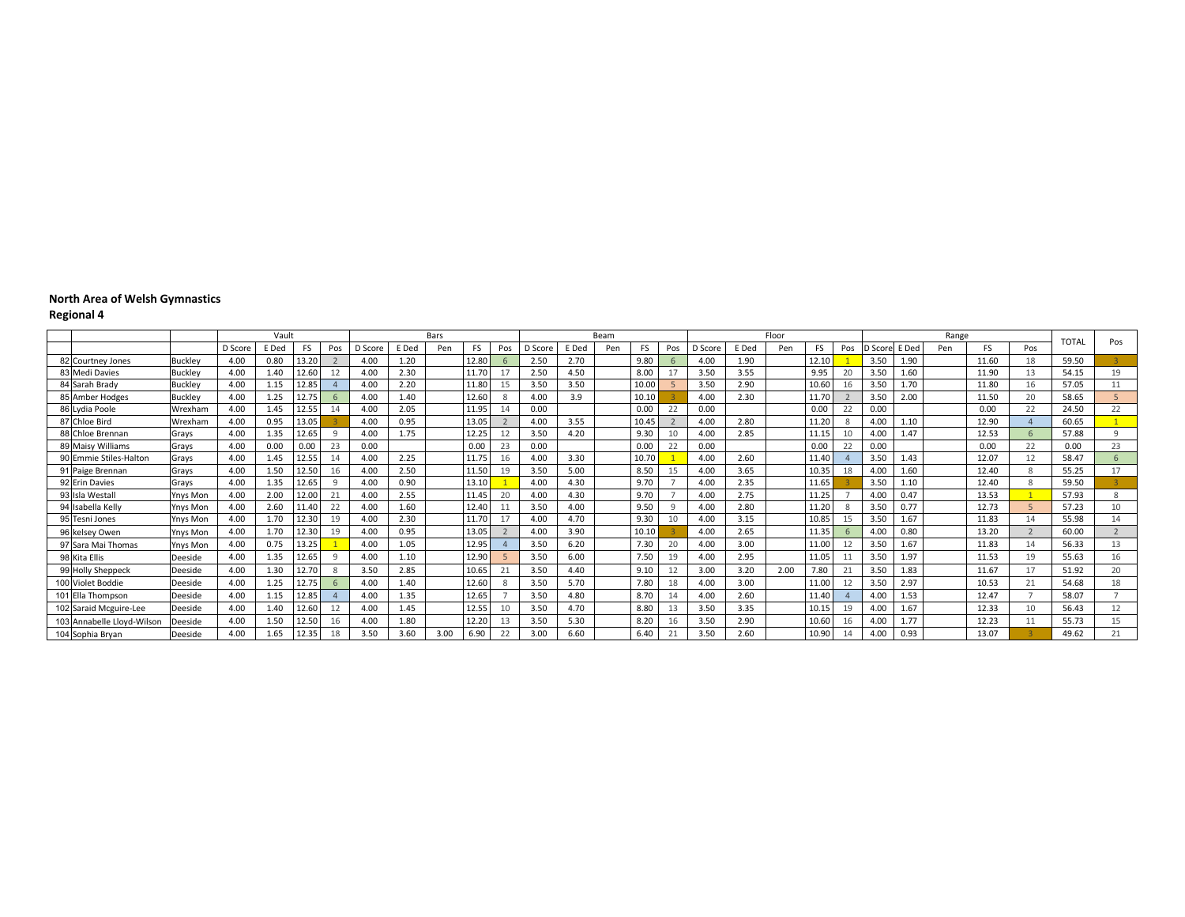|                            |                 |         | Vault |       |     |         |       | Bars |       |     |         |       | Beam |       |     |         |       | Floor |       |     |         |       | Range |           |     | <b>TOTAL</b> | Pos               |
|----------------------------|-----------------|---------|-------|-------|-----|---------|-------|------|-------|-----|---------|-------|------|-------|-----|---------|-------|-------|-------|-----|---------|-------|-------|-----------|-----|--------------|-------------------|
|                            |                 | D Score | E Ded | FS    | Pos | D Score | E Ded | Pen  | FS    | Pos | D Score | E Ded | Pen  | FS    | Pos | D Score | E Ded | Pen   | FS    | Pos | D Score | E Ded | Pen   | <b>FS</b> | Pos |              |                   |
| 82 Courtney Jones          | <b>Buckley</b>  | 4.00    | 0.80  | 13.20 |     | 4.00    | 1.20  |      | 12.80 |     | 2.50    | 2.70  |      | 9.80  |     | 4.00    | 1.90  |       | 12.1  |     | 3.50    | 1.90  |       | 11.60     | 18  | 59.50        |                   |
| 83 Medi Davies             | <b>Buckley</b>  | 4.00    | 1.40  | 12.60 |     | 4.00    | 2.30  |      | 11.70 | 17  | 2.50    | 4.50  |      | 8.00  |     | 3.50    | 3.55  |       | 9.95  |     | 3.50    | 1.60  |       | 11.90     | 13  | 54.15        | 19                |
| 84 Sarah Brady             | <b>Buckley</b>  | 4.00    | 1.15  | 12.85 |     | 4.00    | 2.20  |      | 11.80 | 15  | 3.50    | 3.50  |      | 10.00 |     | 3.50    | 2.90  |       | 10.60 | 16  | 3.50    | 1.70  |       | 11.80     | 16  | 57.05        | 11                |
| 85 Amber Hodges            | <b>Buckley</b>  | 4.00    | 1.25  |       |     | 4.00    | 1.40  |      | 12.60 |     | 4.00    | 3.9   |      | 10.10 |     | 4.00    | 2.30  |       | 11.70 |     | 3.50    | 2.00  |       | 11.50     | 20  | 58.65        |                   |
| 86 Lydia Poole             | Wrexham         | 4.00    | 1.45  |       |     | 4.00    | 2.05  |      | 11.95 |     | 0.00    |       |      | 0.00  |     | 0.00    |       |       | 0.00  |     | 0.00    |       |       | 0.00      | 22  | 24.50        | 22                |
| 87 Chloe Bird              | Wrexham         | 4.00    | 0.95  | 13.05 |     | 4.00    | 0.95  |      | 13.05 |     | 4.00    | 3.55  |      | 10.45 |     | 4.00    | 2.80  |       | 11.20 |     | 4.00    | 1.10  |       | 12.90     |     | 60.65        |                   |
| 88 Chloe Brennan           | Gravs           | 4.00    | 1.35  | 12.65 | 9   | 4.00    | 1.75  |      | 12.25 | 12  | 3.50    | 4.20  |      | 9.30  | 10  | 4.00    | 2.85  |       | 11.15 | 10  | 4.00    | 1.47  |       | 12.53     |     | 57.88        | Q                 |
| 89 Maisy Williams          | Gravs           | 4.00    | 0.00  | 0.00  | 23  | 0.00    |       |      | 0.00  | 23  | 0.00    |       |      | 0.00  | 22  | 0.00    |       |       | 0.00  |     | 0.00    |       |       | 0.00      | 22  | 0.00         | 23                |
| 90 Emmie Stiles-Haltor     | Grays           | 4.00    | 1.45  |       |     | 4.00    | 2.25  |      | 11.75 | 16  | 4.00    | 3.30  |      | 10.70 |     | 4.00    | 2.60  |       | 11.40 |     | 3.50    | 1.43  |       | 12.07     | 12  | 58.47        |                   |
| 91 Paige Brennan           | Grays           | 4.00    | 1.50  | 12.50 | 16  | 4.00    | 2.50  |      | 11.50 | 19  | 3.50    | 5.00  |      | 8.50  | 15  | 4.00    | 3.65  |       | 10.35 | 18  | 4.00    | 1.60  |       | 12.40     |     | 55.25        | 17                |
| 92 Erin Davies             | Grays           | 4.00    | 1.35  | 12.65 | q   | 4.00    | 0.90  |      | 13.10 |     | 4.00    | 4.30  |      | 9.70  |     | 4.00    | 2.35  |       | 11.65 |     | 3.50    | 1.10  |       | 12.40     |     | 59.50        |                   |
| 93 Isla Westall            | Ynys Mon        | 4.00    | 2.00  | 12.00 | 21  | 4.00    | 2.55  |      | 11.45 | 20  | 4.00    | 4.30  |      | 9.70  |     | 4.00    | 2.75  |       | 11.25 |     | 4.00    | 0.47  |       | 13.53     |     | 57.93        | $\mathbf{\Omega}$ |
| 94 Isabella Kelly          | <b>Ynys Mon</b> | 4.00    | 2.60  |       | 22  | 4.00    | 1.60  |      | 12.40 |     | 3.50    | 4.00  |      | 9.50  |     | 4.00    | 2.80  |       | 11.20 |     | 3.50    | 0.77  |       | 12.73     |     | 57.23        | 10                |
| 95 Tesni Jones             | <b>Ynys Mon</b> | 4.00    | 1.70  |       | 19  | 4.00    | 2.30  |      | 11.70 | 17  | 4.00    | 4.70  |      | 9.30  | 10  | 4.00    | 3.15  |       | 10.85 | 15  | 3.50    | 1.67  |       | 11.83     | 14  | 55.98        | 14                |
| 96 kelsey Owen             | <b>Ynys Mon</b> | 4.00    | 1.70  |       | 19  | 4.00    | 0.95  |      | 13.05 |     | 4.00    | 3.90  |      | 10.10 |     | 4.00    | 2.65  |       | 11.35 |     | 4.00    | 0.80  |       | 13.20     |     | 60.00        | $\overline{2}$    |
| 97 Sara Mai Thomas         | <b>Ynys Mon</b> | 4.00    | 0.75  | 13.25 |     | 4.00    | 1.05  |      | 12.95 |     | 3.50    | 6.20  |      | 7.30  |     | 4.00    | 3.00  |       | 11.00 |     | 3.50    | 1.67  |       | 11.83     | 14  | 56.33        | 13                |
| 98 Kita Ellis              | Deeside         | 4.00    | 1.35  | 12.65 | q   | 4.00    | 1.10  |      | 12.90 |     | 3.50    | 6.00  |      | 7.50  | 19  | 4.00    | 2.95  |       | 11.0  |     | 3.50    | 1.97  |       | 11.53     | 19  | 55.63        | 16                |
| 99 Holly Sheppeck          | Deeside         | 4.00    | 1.30  |       | ۶   | 3.50    | 2.85  |      | 10.65 | 21  | 3.50    | 4.40  |      | 9.10  |     | 3.00    | 3.20  | 2.00  | 7.80  |     | 3.50    | 1.83  |       | 11.67     | 17  | 51.92        | 20                |
| 100 Violet Boddie          | Deeside         | 4.00    | 1.25  |       |     | 4.00    | 1.40  |      | 12.60 |     | 3.50    | 5.70  |      | 7.80  | 18  | 4.00    | 3.00  |       | 11.00 |     | 3.50    | 2.97  |       | 10.53     | 21  | 54.68        | 18                |
| 101 Ella Thompson          | Deeside         | 4.00    | 1.15  |       |     | 4.00    | 1.35  |      | 12.65 |     | 3.50    | 4.80  |      | 8.70  |     | 4.00    | 2.60  |       | 11.40 |     | 4.00    | 1.53  |       | 12.47     |     | 58.07        |                   |
| 102 Saraid Mcguire-Lee     | Deeside         | 4.00    | 1.40  |       |     | 4.00    | 1.45  |      | 12.55 | 10  | 3.50    | 4.70  |      | 8.80  |     | 3.50    | 3.35  |       | 10.1  | 19  | 4.00    | 1.67  |       | 12.33     | 10  | 56.43        | 12                |
| 103 Annabelle Llovd-Wilson | Deeside         | 4.00    | 1.50  |       |     | 4.00    | 1.80  |      | 12.20 | 13  | 3.50    | 5.30  |      | 8.20  | 16  | 3.50    | 2.90  |       | 10.6  | 16  | 4.00    | 1.77  |       | 12.23     | 11  | 55.73        | 15                |
| 104 Sophia Bryan           | Deeside         | 4.00    | 1.65  |       | 18  | 3.50    | 3.60  | 3.00 | 6.90  | 22  | 3.00    | 6.60  |      | 6.40  | 21  | 3.50    | 2.60  |       | 10.90 | 14  | 4.00    | 0.93  |       | 13.07     |     | 49.62        | 21                |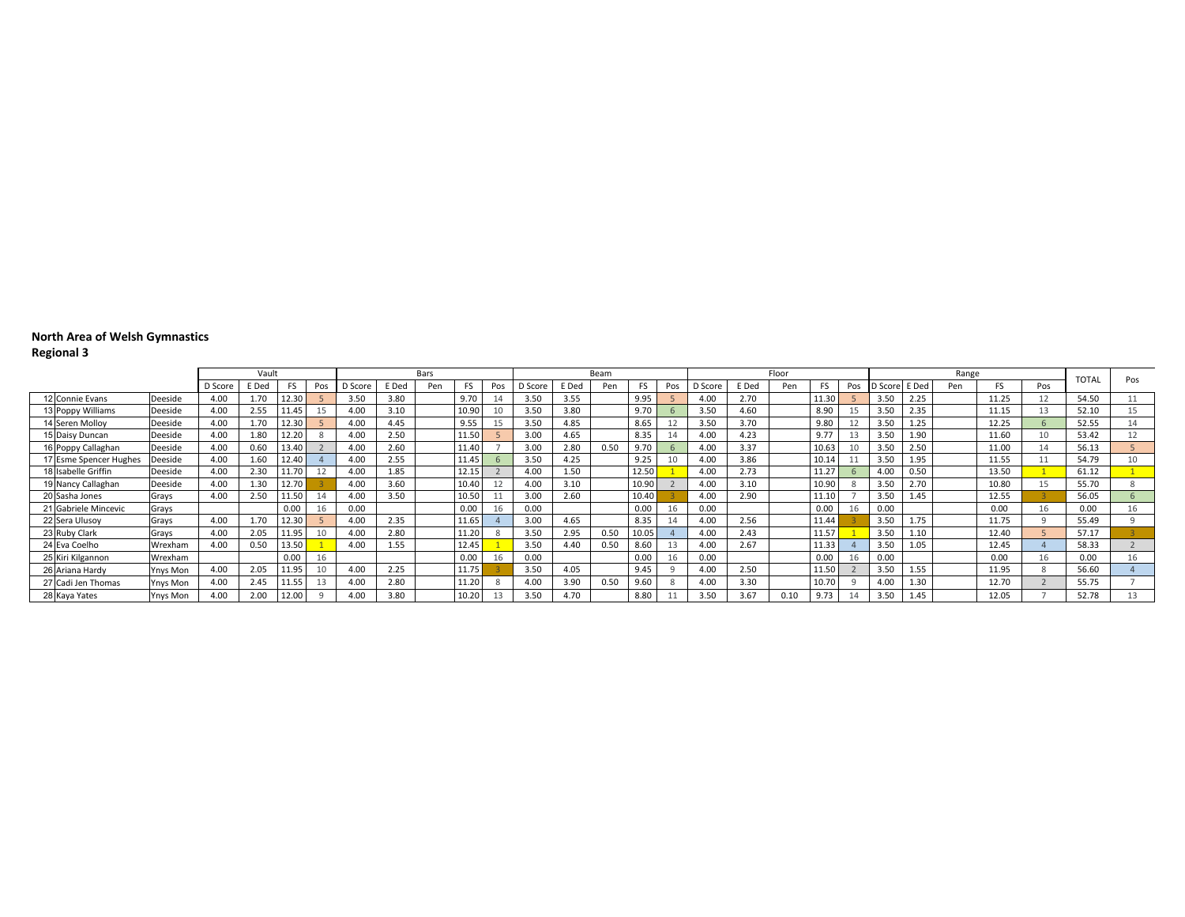|                               |          |         | Vault |           |                 |         |       | Bars |       |     |         |       | Beam |           |     |         |       | Floor |       |     |               |                  | Range |       |              |              |     |
|-------------------------------|----------|---------|-------|-----------|-----------------|---------|-------|------|-------|-----|---------|-------|------|-----------|-----|---------|-------|-------|-------|-----|---------------|------------------|-------|-------|--------------|--------------|-----|
|                               |          | D Score | E Ded | <b>FS</b> | Pos             | D Score | E Ded | Pen  |       | Pos | D Score | E Ded | Pen  | <b>FS</b> | Pos | D Score | E Ded | Pen   | FS    | Pos | D Score E Ded |                  | Pen   |       | Pos          | <b>TOTAI</b> | Pos |
|                               |          |         |       |           |                 |         |       |      |       |     |         |       |      |           |     |         |       |       |       |     |               |                  |       |       |              |              |     |
| 12 Connie Evans               | Deeside  | 4.00    | 70    | 12.30     |                 | 3.50    | 3.80  |      | 9.70  |     | 3.50    | 3.55  |      | 9.95      |     | 4.00    | 2.70  |       | 11.30 |     | 3.50          | 2.25             |       | 11.25 | 12           | 54.50        |     |
| <sup>1</sup> 3 Poppy Williams | Deeside  | 4.00    | 2.55  | 11.45     | 15              | 4.00    | 3.10  |      | 10.90 |     | 3.50    | 3.80  |      | 9.70      |     | 3.50    | 4.60  |       | 8.90  |     | 3.5C          | 2.35             |       | 11.15 | 13           | 52.10        | 15  |
| '4 Seren Molloy               | Deeside  | 4.00    | .70   | 12.30     |                 | 4.00    | 4.45  |      | 9.55  |     | 3.50    | 4.85  |      | 8.65      |     | 3.50    | 3.70  |       | 9.80  |     | 3.50          | 1.25             |       | 12.25 | $\mathsf{h}$ | 52.55        |     |
| 5 Daisy Duncan                | Deeside  | 4.00    | 1.80  | 12.20     |                 | 4.00    | 2.50  |      | 11.50 |     | 3.00    | 4.65  |      | 8.35      |     | 4.00    | 4.23  |       | 9.77  |     | 3.50          | 1.90             |       | 11.60 | 10           | 53.42        | 12  |
| 16 Poppy Callaghan            | Deeside  | 4.00    | 0.60  | 13.40     |                 | 4.00    | 2.60  |      | 11.40 |     | 3.00    | 2.80  | 0.50 | 9.7C      |     | 4.00    | 3.37  |       | 10.63 |     | 3.50          | 2.5C             |       | 11.00 | 14           | 56.13        |     |
| 7 Esme Spencer Hughes         | Deeside  | 4.00    | .60   | 12.40     |                 | 4.00    | 2.55  |      | 11.45 |     | 3.50    | 4.25  |      | 9.25      | 10  | 4.00    | 3.86  |       | 10.14 |     | 3.5C          | 1.95             |       | 11.55 |              | 54.79        | 10  |
| 18 Isabelle Griffin           | Deeside  | 4.00    | 2.30  | 11.70     |                 | 4.00    | 1.85  |      | 12.15 |     | 4.00    | 1.50  |      | 12.50     |     | 4.00    | 2.73  |       | 11.27 |     | 4.0(          | 0.50             |       | 13.50 |              | 61.12        |     |
| 9 Nancy Callaghan             | Deeside  | 4.00    | .30   | 12.70     |                 | 4.00    | 3.60  |      | 10.40 |     | 4.00    | 3.10  |      | 10.90     |     | 4.00    | 3.10  |       | 10.90 |     | 3.50          | 2.7 <sub>C</sub> |       | 10.80 | 15           | 55.70        |     |
| 20 Sasha Jones                | Grays    | 4.00    | 2.50  | 11.50     |                 | 4.00    | 3.50  |      | 10.50 |     | 3.00    | 2.60  |      | 10.40     |     | 4.00    | 2.90  |       | 11.10 |     | 3.50          | 1.45             |       | 12.55 |              | 56.05        |     |
| 21 Gabriele Mincevic          | Grays    |         |       | 0.00      | 16              | 0.00    |       |      | 0.00  |     | 0.00    |       |      | 0.00      |     | 0.00    |       |       | 0.00  |     | 0.00          |                  |       | 0.00  | 16           | 0.00         |     |
| 22 Sera Ulusoy                | Grays    | 4.00    | 1.70  | 12.30     |                 | 4.00    | 2.35  |      | 11.65 |     | 3.00    | 4.65  |      | 8.35      |     | 4.00    | 2.56  |       | 11.44 |     | 3.50          | 1.75             |       | 11.75 |              | 55.49        |     |
| 23 Ruby Clark                 | Grays    | 4.00    | 2.05  | 11.95     | 10 <sup>1</sup> | 4.00    | 2.80  |      | 11.20 |     | 3.50    | 2.95  | 0.50 | 10.05     |     | 4.00    | 2.43  |       | 11.57 |     | 3.50          | 1.10             |       | 12.40 |              | 57.17        |     |
| 24 Eva Coelho                 | Wrexham  | 4.00    | 0.50  | 13.50     |                 | 4.00    | 1.55  |      | 12.45 |     | 3.50    | 4.40  | 0.50 | 8.60      |     | 4.00    | 2.67  |       | 11.33 |     | 3.50          | 1.05             |       | 12.45 |              | 58.33        |     |
| 25 Kiri Kilgannon             | Wrexham  |         |       | 0.00      | 16              |         |       |      | 0.00  | Ιb  | 0.00    |       |      | 0.00      |     | 0.00    |       |       | 0.00  |     | 0.OC          |                  |       | 0.00  | 16           | 0.00         |     |
| 26 Ariana Hardy               | Ynys Mon | 4.00    | 2.05  | 11.95     | 10              | 4.00    | 2.25  |      | 11.75 |     | 3.50    | 4.05  |      | 9.45      |     | 4.00    | 2.50  |       | 11.50 |     | 3.50          | 1.55             |       | 11.95 | 8            | 56.60        |     |
| 27 Cadi Jen Thomas            | Ynys Mon | 4.00    | 2.45  | 11.55     | 13              | 4.00    | 2.80  |      | 11.20 |     | 4.00    | 3.90  | 0.50 | 9.60      |     | 4.00    | 3.30  |       | 10.70 |     | 4.00          | 1.3 <sub>c</sub> |       | 12.70 |              | 55.75        |     |
| 28 Kaya Yates                 | Ynys Mon | 4.00    | 2.00  | 12.00     |                 | 4.00    | 3.80  |      | 10.20 |     | 3.50    | 4.70  |      | 8.80      |     | 3.50    | 3.67  | 0.10  | 9.73  |     | 3.50          | 1.45             |       | 12.05 |              | 52.78        |     |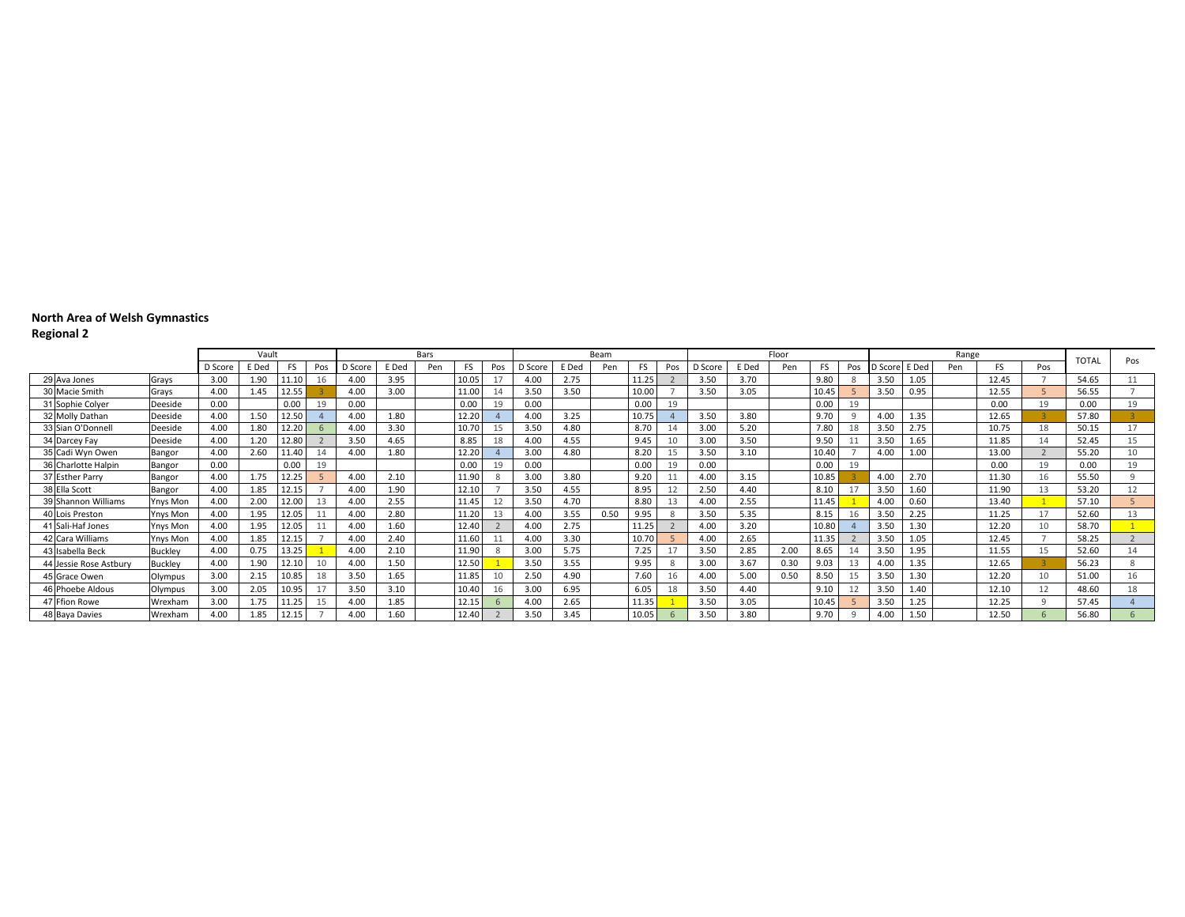|                        |                 |         | Vault |           |                 |         |       | Bars |       |     |         |       | Beam |       |     |         |       | Floor |       |     |         |       | Range |           |     |              |     |
|------------------------|-----------------|---------|-------|-----------|-----------------|---------|-------|------|-------|-----|---------|-------|------|-------|-----|---------|-------|-------|-------|-----|---------|-------|-------|-----------|-----|--------------|-----|
|                        |                 | D Score | E Ded | <b>FS</b> | Pos             | D Score | E Ded | Pen  | FS    | Pos | D Score | E Ded | Pen  | FS    | Pos | D Score | E Ded | Pen   | FS    | Pos | D Score | E Ded | Pen   | <b>FS</b> | Pos | <b>TOTAL</b> | Pos |
| 29 Ava Jones           | Grays           | 3.00    | 1.90  | .1.10     |                 | 4.00    | 3.95  |      | 10.05 |     | 4.00    | 2.75  |      | 11.25 |     | 3.50    | 3.70  |       | 9.80  |     | 3.50    | 1.05  |       | 12.45     |     | 54.65        |     |
| 30 Macie Smith         | Grays           | 4.00    | 1.45  | 12.55     |                 | 4.00    | 3.00  |      | 11.00 |     | 3.50    | 3.50  |      | 10.00 |     | 3.50    | 3.05  |       | 10.45 |     | 3.50    | 0.95  |       | 12.55     |     | 56.55        |     |
| 31 Sophie Colyer       | Deeside         | 0.00    |       | 0.00      | 19              | 0.00    |       |      | 0.00  |     | 0.00    |       |      | 0.00  | 19  |         |       |       | 0.00  | 19  |         |       |       | 0.00      | 19  | 0.00         | 19  |
| 32 Molly Dathan        | Deeside         | 4.00    | 1.50  | 12.50     |                 | 4.00    | 1.80  |      | 12.20 |     | 4.00    | 3.25  |      | 10.75 |     | 3.50    | 3.80  |       | 9.70  |     | 4.00    | 1.35  |       | 12.65     |     | 57.80        |     |
| 33 Sian O'Donnell      | Deeside         | 4.00    | 1.80  | 12.20     |                 | 4.00    | 3.30  |      | 10.70 |     | 3.50    | 4.80  |      | 8.70  |     | 3.00    | 5.20  |       | 7.80  | 18  | 3.50    | 2.75  |       | 10.75     | 18  | 50.15        | 17  |
| 34 Darcey Fay          | Deeside         | 4.00    | 1.20  | 12.80     |                 | 3.50    | 4.65  |      | 8.85  | 18  | 4.00    | 4.55  |      | 9.45  | 10  | 3.00    | 3.50  |       | 9.50  |     | 3.50    | 1.65  |       | 11.85     | 14  | 52.45        | 15  |
| 35 Cadi Wyn Owen       | Bangor          | 4.00    | 2.60  | 11.40     |                 | 4.00    | 1.80  |      | 12.20 |     | 3.00    | 4.80  |      | 8.20  |     | 3.50    | 3.10  |       | 10.40 |     | 4.00    | 1.00  |       | 13.00     |     | 55.20        | 10  |
| 36 Charlotte Halpin    | Bangor          | 0.00    |       | 0.00      | 19              |         |       |      | 0.00  |     | 0.00    |       |      | 0.00  | 19  | 0.00    |       |       | 0.00  | 19  |         |       |       | 0.00      | 19  | 0.00         | 19  |
| 37 Esther Parry        | Bangor          | 4.00    | 1.75  | 12.25     |                 | 4.00    | 2.10  |      | 11.90 |     | 3.00    | 3.80  |      | 9.20  |     | 4.00    | 3.15  |       | 10.85 |     | 4.00    | 2.70  |       | 11.30     | 16  | 55.50        |     |
| 38 Ella Scott          | Bangor          | 4.00    | 1.85  | 12.15     |                 | 4.00    | 1.90  |      | 12.10 |     | 3.50    | 4.55  |      | 8.95  |     | 2.50    | 4.40  |       | 8.10  |     | 3.50    | 1.60  |       | 11.90     | 13  | 53.20        | 12  |
| 39 Shannon Williams    | <b>Ynys Mon</b> | 4.00    | 2.00  | 12.00     |                 | 4.00    | 2.55  |      | 11.45 |     | 3.50    | 4.70  |      | 8.80  | 13  | 4.00    | 2.55  |       | 11.45 |     | 4.00    | 0.60  |       | 13.40     |     | 57.10        |     |
| 40 Lois Preston        | Ynys Mon        | 4.00    | 1.95  | 12.05     |                 | 4.00    | 2.80  |      | 11.20 |     | 4.00    | 3.55  | 0.50 | 9.95  |     | 3.50    | 5.35  |       | 8.15  |     | 3.50    | 2.25  |       | 11.25     | 17  | 52.60        | 13  |
| 41 Sali-Haf Jones      | Ynys Mon        | 4.00    | 1.95  | 12.05     |                 | 4.00    | 1.60  |      | 12.40 |     | 4.00    | 2.75  |      | 11.25 |     | 4.00    | 3.20  |       | 10.80 |     | 3.50    | 1.30  |       | 12.20     | 10  | 58.70        |     |
| 42 Cara Williams       | Ynys Mon        | 4.00    | 1.85  | 12.15     |                 | 4.00    | 2.40  |      | 11.60 |     | 4.00    | 3.30  |      | 10.70 |     | 4.00    | 2.65  |       | 11.35 |     | 3.50    | 1.05  |       | 12.45     |     | 58.25        |     |
| 43 Isabella Beck       | <b>Buckley</b>  | 4.00    | 0.75  | 13.25     |                 | 4.00    | 2.10  |      | 11.90 |     | 3.00    | 5.75  |      | 7.25  |     | 3.50    | 2.85  | 2.00  | 8.65  |     | 3.50    | 1.95  |       | 11.55     | 15  | 52.60        | 14  |
| 44 Jessie Rose Astbury | <b>Buckley</b>  | 4.00    | 1.90  | 12.10     | 10 <sup>1</sup> | 4.00    | 1.50  |      | 12.50 |     | 3.50    | 3.55  |      | 9.95  |     | 3.00    | 3.67  | 0.30  | 9.03  | 13  | 4.00    | 1.35  |       | 12.65     |     | 56.23        |     |
| 45 Grace Owen          | Olympus         | 3.00    | 2.15  | 0.85      | 18              | 3.50    | 1.65  |      | 11.85 |     | 2.50    | 4.90  |      | 7.60  | 16  | 4.00    | 5.00  | 0.50  | 8.50  | 15  | 3.5C    | 1.30  |       | 12.20     | 10  | 51.00        | 16  |
| 46 Phoebe Aldous       | Olympus         | 3.00    | 2.05  | 10.95     |                 | 3.50    | 3.10  |      | 10.40 |     | 3.00    | 6.95  |      | 6.05  | 18  | 3.50    | 4.40  |       | 9.10  | 12  | 3.50    | 1.40  |       | 12.10     | 12  | 48.60        | 18  |
| 47 Ffion Rowe          | Wrexham         | 3.00    | 1.75  | 11.25     | 15              | 4.00    | 1.85  |      | 12.15 |     | 4.00    | 2.65  |      | 11.35 |     | 3.50    | 3.05  |       | 10.45 |     | 3.50    | 1.25  |       | 12.25     |     | 57.45        |     |
| 48 Baya Davies         | Wrexham         | 4.00    | 1.85  | 12.1!     |                 | 4.00    | 1.60  |      | 12.40 |     | 3.50    | 3.45  |      | 10.05 |     | 3.50    | 3.80  |       | 9.70  |     | 4.00    | 1.50  |       | 12.50     |     | 56.80        |     |